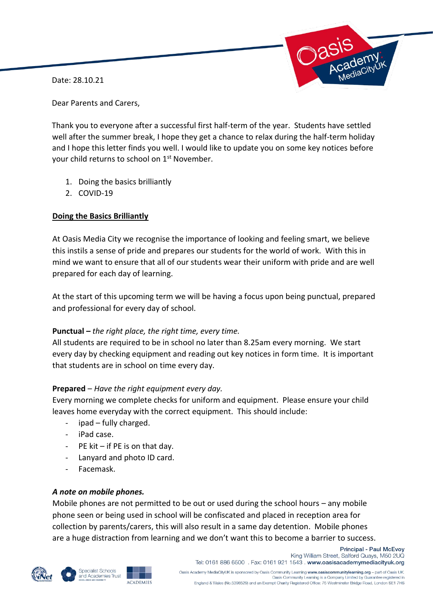Date: 28.10.21

Dear Parents and Carers,

Thank you to everyone after a successful first half-term of the year. Students have settled well after the summer break, I hope they get a chance to relax during the half-term holiday and I hope this letter finds you well. I would like to update you on some key notices before your child returns to school on 1<sup>st</sup> November.

- 1. Doing the basics brilliantly
- 2. COVID-19

# **Doing the Basics Brilliantly**

At Oasis Media City we recognise the importance of looking and feeling smart, we believe this instils a sense of pride and prepares our students for the world of work. With this in mind we want to ensure that all of our students wear their uniform with pride and are well prepared for each day of learning.

At the start of this upcoming term we will be having a focus upon being punctual, prepared and professional for every day of school.

## **Punctual –** *the right place, the right time, every time.*

All students are required to be in school no later than 8.25am every morning. We start every day by checking equipment and reading out key notices in form time. It is important that students are in school on time every day.

## **Prepared** – *Have the right equipment every day.*

Every morning we complete checks for uniform and equipment. Please ensure your child leaves home everyday with the correct equipment. This should include:

- ipad fully charged.
- iPad case.
- $PE$  kit  $-$  if PE is on that day.
- Lanyard and photo ID card.
- Facemask.

## *A note on mobile phones.*

Mobile phones are not permitted to be out or used during the school hours – any mobile phone seen or being used in school will be confiscated and placed in reception area for collection by parents/carers, this will also result in a same day detention. Mobile phones are a huge distraction from learning and we don't want this to become a barrier to success.





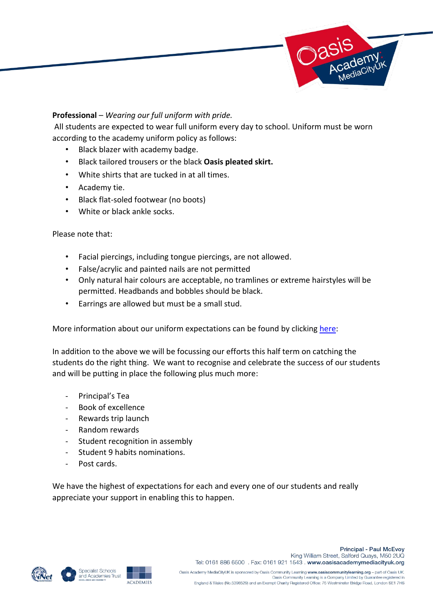

#### **Professional** – *Wearing our full uniform with pride.*

All students are expected to wear full uniform every day to school. Uniform must be worn according to the academy uniform policy as follows:

- Black blazer with academy badge.
- Black tailored trousers or the black **Oasis pleated skirt.**
- White shirts that are tucked in at all times.
- Academy tie.
- Black flat-soled footwear (no boots)
- White or black ankle socks.

Please note that:

- Facial piercings, including tongue piercings, are not allowed.
- False/acrylic and painted nails are not permitted
- Only natural hair colours are acceptable, no tramlines or extreme hairstyles will be permitted. Headbands and bobbles should be black.
- Earrings are allowed but must be a small stud.

More information about our uniform expectations can be found by clicking [here:](https://www.oasisacademymediacityuk.org/academy-life/uniform)

In addition to the above we will be focussing our efforts this half term on catching the students do the right thing. We want to recognise and celebrate the success of our students and will be putting in place the following plus much more:

- Principal's Tea
- Book of excellence
- Rewards trip launch
- Random rewards
- Student recognition in assembly
- Student 9 habits nominations.
- Post cards.

We have the highest of expectations for each and every one of our students and really appreciate your support in enabling this to happen.



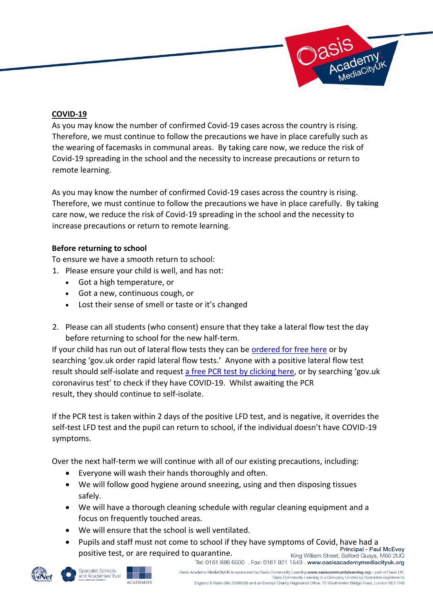

#### **COVID-19**

As you may know the number of confirmed Covid-19 cases across the country is rising. Therefore, we must continue to follow the precautions we have in place carefully such as the wearing of facemasks in communal areas. By taking care now, we reduce the risk of Covid-19 spreading in the school and the necessity to increase precautions or return to remote learning.

As you may know the number of confirmed Covid-19 cases across the country is rising. Therefore, we must continue to follow the precautions we have in place carefully. By taking care now, we reduce the risk of Covid-19 spreading in the school and the necessity to increase precautions or return to remote learning.

#### **Before returning to school**

To ensure we have a smooth return to school:

- 1. Please ensure your child is well, and has not:
	- Got a high temperature, or
	- Got a new, continuous cough, or
	- Lost their sense of smell or taste or it's changed
- 2. Please can all students (who consent) ensure that they take a lateral flow test the day before returning to school for the new half-term.

If your child has run out of lateral flow tests they can be [ordered for free here](https://www.gov.uk/order-coronavirus-rapid-lateral-flow-tests) or by searching 'gov.uk order rapid lateral flow tests.' Anyone with a positive lateral flow test result should self-isolate and request [a free PCR test by clicking here,](https://www.gov.uk/get-coronavirus-test) or by searching 'gov.uk coronavirus test' to check if they have COVID-19. Whilst awaiting the PCR result, they should continue to self-isolate.

If the PCR test is taken within 2 days of the positive LFD test, and is negative, it overrides the self-test LFD test and the pupil can return to school, if the individual doesn't have COVID-19 symptoms.

Over the next half-term we will continue with all of our existing precautions, including:

- Everyone will wash their hands thoroughly and often.
- We will follow good hygiene around sneezing, using and then disposing tissues safely.
- We will have a thorough cleaning schedule with regular cleaning equipment and a focus on frequently touched areas.
- We will ensure that the school is well ventilated.
- Pupils and staff must not come to school if they have symptoms of Covid, have had a positive test, or are required to quarantine. King William Street, Salford Quays, M50 2UQ Tel: 0161 886 6500 . Fax: 0161 921 1543 . www.oasisacademymediacityuk.org





Oasis Academy MediaCityUK is sponsored by Oasis Community Learning www.oasiscommunitylearning.org - part of Oasis UK. Oasis Community Learning is a Company Limited by Guarantee registered in England & Wales (No.5398529) and an Exempt Charity Registered Office: 75 Westminster Bridge Road, London SE1 7HS